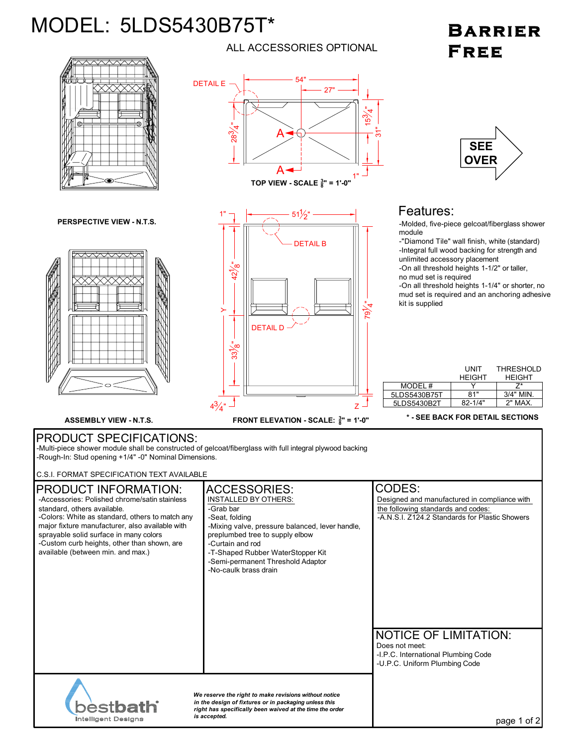## MODEL: 5LDS5430B75T\*

**Intelligent Designs** 

## BARRIER FREE



ALL ACCESSORIES OPTIONAL

*is accepted.* page 1 of 2